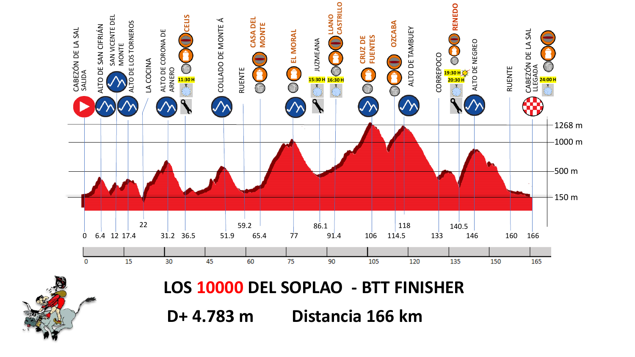

**LOS 10000 DEL SOPLAO - BTT FINISHER**

**D+ 4.783 m Distancia 166 km**